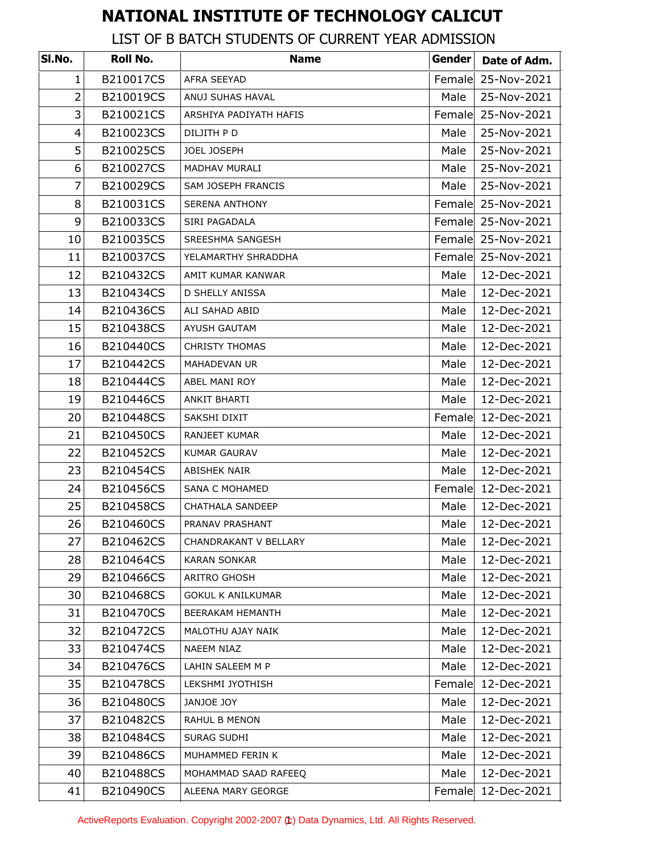## **NATIONAL INSTITUTE OF TECHNOLOGY CALICUT**

## LIST OF B BATCH STUDENTS OF CURRENT YEAR ADMISSION

| SI.No.         | Roll No.  | <b>Name</b>              | Gender | Date of Adm. |
|----------------|-----------|--------------------------|--------|--------------|
| 1              | B210017CS | AFRA SEEYAD              | Female | 25-Nov-2021  |
| $\overline{2}$ | B210019CS | ANUJ SUHAS HAVAL         | Male   | 25-Nov-2021  |
| 3              | B210021CS | ARSHIYA PADIYATH HAFIS   | Female | 25-Nov-2021  |
| 4              | B210023CS | DILJITH P D              | Male   | 25-Nov-2021  |
| 5              | B210025CS | JOEL JOSEPH              | Male   | 25-Nov-2021  |
| 6              | B210027CS | MADHAV MURALI            | Male   | 25-Nov-2021  |
| $\overline{7}$ | B210029CS | SAM JOSEPH FRANCIS       | Male   | 25-Nov-2021  |
| 8              | B210031CS | <b>SERENA ANTHONY</b>    | Female | 25-Nov-2021  |
| 9              | B210033CS | SIRI PAGADALA            | Female | 25-Nov-2021  |
| 10             | B210035CS | SREESHMA SANGESH         | Female | 25-Nov-2021  |
| 11             | B210037CS | YELAMARTHY SHRADDHA      | Female | 25-Nov-2021  |
| 12             | B210432CS | AMIT KUMAR KANWAR        | Male   | 12-Dec-2021  |
| 13             | B210434CS | <b>D SHELLY ANISSA</b>   | Male   | 12-Dec-2021  |
| 14             | B210436CS | ALI SAHAD ABID           | Male   | 12-Dec-2021  |
| 15             | B210438CS | <b>AYUSH GAUTAM</b>      | Male   | 12-Dec-2021  |
| 16             | B210440CS | <b>CHRISTY THOMAS</b>    | Male   | 12-Dec-2021  |
| 17             | B210442CS | <b>MAHADEVAN UR</b>      | Male   | 12-Dec-2021  |
| 18             | B210444CS | ABEL MANI ROY            | Male   | 12-Dec-2021  |
| 19             | B210446CS | ANKIT BHARTI             | Male   | 12-Dec-2021  |
| 20             | B210448CS | SAKSHI DIXIT             | Female | 12-Dec-2021  |
| 21             | B210450CS | RANJEET KUMAR            | Male   | 12-Dec-2021  |
| 22             | B210452CS | <b>KUMAR GAURAV</b>      | Male   | 12-Dec-2021  |
| 23             | B210454CS | <b>ABISHEK NAIR</b>      | Male   | 12-Dec-2021  |
| 24             | B210456CS | SANA C MOHAMED           | Female | 12-Dec-2021  |
| 25             | B210458CS | <b>CHATHALA SANDEEP</b>  | Male   | 12-Dec-2021  |
| 26             | B210460CS | PRANAV PRASHANT          | Male   | 12-Dec-2021  |
| 27             | B210462CS | CHANDRAKANT V BELLARY    | Male   | 12-Dec-2021  |
| 28             | B210464CS | <b>KARAN SONKAR</b>      | Male   | 12-Dec-2021  |
| 29             | B210466CS | ARITRO GHOSH             | Male   | 12-Dec-2021  |
| 30             | B210468CS | <b>GOKUL K ANILKUMAR</b> | Male   | 12-Dec-2021  |
| 31             | B210470CS | BEERAKAM HEMANTH         | Male   | 12-Dec-2021  |
| 32             | B210472CS | MALOTHU AJAY NAIK        | Male   | 12-Dec-2021  |
| 33             | B210474CS | NAEEM NIAZ               | Male   | 12-Dec-2021  |
| 34             | B210476CS | LAHIN SALEEM M P         | Male   | 12-Dec-2021  |
| 35             | B210478CS | LEKSHMI JYOTHISH         | Female | 12-Dec-2021  |
| 36             | B210480CS | JANJOE JOY               | Male   | 12-Dec-2021  |
| 37             | B210482CS | RAHUL B MENON            | Male   | 12-Dec-2021  |
| 38             | B210484CS | SURAG SUDHI              | Male   | 12-Dec-2021  |
| 39             | B210486CS | MUHAMMED FERIN K         | Male   | 12-Dec-2021  |
| 40             | B210488CS | MOHAMMAD SAAD RAFEEQ     | Male   | 12-Dec-2021  |
| 41             | B210490CS | ALEENA MARY GEORGE       | Female | 12-Dec-2021  |

ActiveReports Evaluation. Copyright 2002-2007 (t) Data Dynamics, Ltd. All Rights Reserved.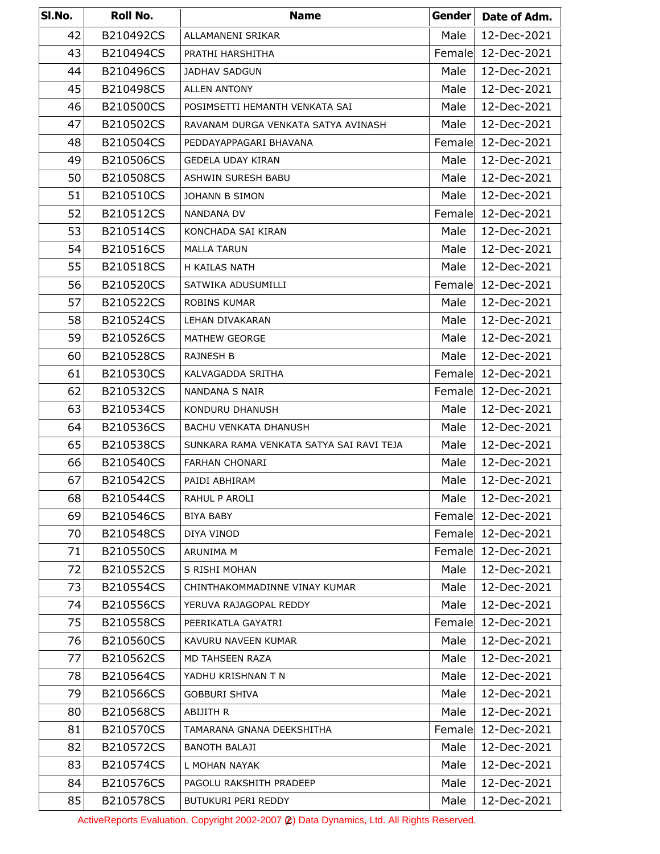| SI.No. | Roll No.  | <b>Name</b>                              | Gender | Date of Adm.       |
|--------|-----------|------------------------------------------|--------|--------------------|
| 42     | B210492CS | ALLAMANENI SRIKAR                        | Male   | 12-Dec-2021        |
| 43     | B210494CS | PRATHI HARSHITHA                         | Female | 12-Dec-2021        |
| 44     | B210496CS | <b>JADHAV SADGUN</b>                     | Male   | 12-Dec-2021        |
| 45     | B210498CS | <b>ALLEN ANTONY</b>                      | Male   | 12-Dec-2021        |
| 46     | B210500CS | POSIMSETTI HEMANTH VENKATA SAI           | Male   | 12-Dec-2021        |
| 47     | B210502CS | RAVANAM DURGA VENKATA SATYA AVINASH      | Male   | 12-Dec-2021        |
| 48     | B210504CS | PEDDAYAPPAGARI BHAVANA                   | Female | 12-Dec-2021        |
| 49     | B210506CS | <b>GEDELA UDAY KIRAN</b>                 | Male   | 12-Dec-2021        |
| 50     | B210508CS | ASHWIN SURESH BABU                       | Male   | 12-Dec-2021        |
| 51     | B210510CS | JOHANN B SIMON                           | Male   | 12-Dec-2021        |
| 52     | B210512CS | <b>NANDANA DV</b>                        | Female | 12-Dec-2021        |
| 53     | B210514CS | KONCHADA SAI KIRAN                       | Male   | 12-Dec-2021        |
| 54     | B210516CS | <b>MALLA TARUN</b>                       | Male   | 12-Dec-2021        |
| 55     | B210518CS | H KAILAS NATH                            | Male   | 12-Dec-2021        |
| 56     | B210520CS | SATWIKA ADUSUMILLI                       | Female | 12-Dec-2021        |
| 57     | B210522CS | <b>ROBINS KUMAR</b>                      | Male   | 12-Dec-2021        |
| 58     | B210524CS | LEHAN DIVAKARAN                          | Male   | 12-Dec-2021        |
| 59     | B210526CS | MATHEW GEORGE                            | Male   | 12-Dec-2021        |
| 60     | B210528CS | <b>RAJNESH B</b>                         | Male   | 12-Dec-2021        |
| 61     | B210530CS | KALVAGADDA SRITHA                        | Female | 12-Dec-2021        |
| 62     | B210532CS | NANDANA S NAIR                           |        | Female 12-Dec-2021 |
| 63     | B210534CS | KONDURU DHANUSH                          | Male   | 12-Dec-2021        |
| 64     | B210536CS | <b>BACHU VENKATA DHANUSH</b>             | Male   | 12-Dec-2021        |
| 65     | B210538CS | SUNKARA RAMA VENKATA SATYA SAI RAVI TEJA | Male   | 12-Dec-2021        |
| 66     | B210540CS | <b>FARHAN CHONARI</b>                    | Male   | 12-Dec-2021        |
| 67     | B210542CS | PAIDI ABHIRAM                            | Male   | 12-Dec-2021        |
| 68     | B210544CS | RAHUL P AROLI                            | Male   | 12-Dec-2021        |
| 69     | B210546CS | <b>BIYA BABY</b>                         | Female | 12-Dec-2021        |
| 70     | B210548CS | DIYA VINOD                               | Female | 12-Dec-2021        |
| 71     | B210550CS | ARUNIMA M                                | Female | 12-Dec-2021        |
| 72     | B210552CS | S RISHI MOHAN                            | Male   | 12-Dec-2021        |
| 73     | B210554CS | CHINTHAKOMMADINNE VINAY KUMAR            | Male   | 12-Dec-2021        |
| 74     | B210556CS | YERUVA RAJAGOPAL REDDY                   | Male   | 12-Dec-2021        |
| 75     | B210558CS | PEERIKATLA GAYATRI                       | Female | 12-Dec-2021        |
| 76     | B210560CS | KAVURU NAVEEN KUMAR                      | Male   | 12-Dec-2021        |
| 77     | B210562CS | MD TAHSEEN RAZA                          | Male   | 12-Dec-2021        |
| 78     | B210564CS | YADHU KRISHNAN T N                       | Male   | 12-Dec-2021        |
| 79     | B210566CS | <b>GOBBURI SHIVA</b>                     | Male   | 12-Dec-2021        |
| 80     | B210568CS | ABIJITH R                                | Male   | 12-Dec-2021        |
| 81     | B210570CS | TAMARANA GNANA DEEKSHITHA                | Female | 12-Dec-2021        |
| 82     | B210572CS | <b>BANOTH BALAJI</b>                     | Male   | 12-Dec-2021        |
| 83     | B210574CS | L MOHAN NAYAK                            | Male   | 12-Dec-2021        |
| 84     | B210576CS | PAGOLU RAKSHITH PRADEEP                  | Male   | 12-Dec-2021        |
| 85     | B210578CS | BUTUKURI PERI REDDY                      | Male   | 12-Dec-2021        |

ActiveReports Evaluation. Copyright 2002-2007 (2) Data Dynamics, Ltd. All Rights Reserved.